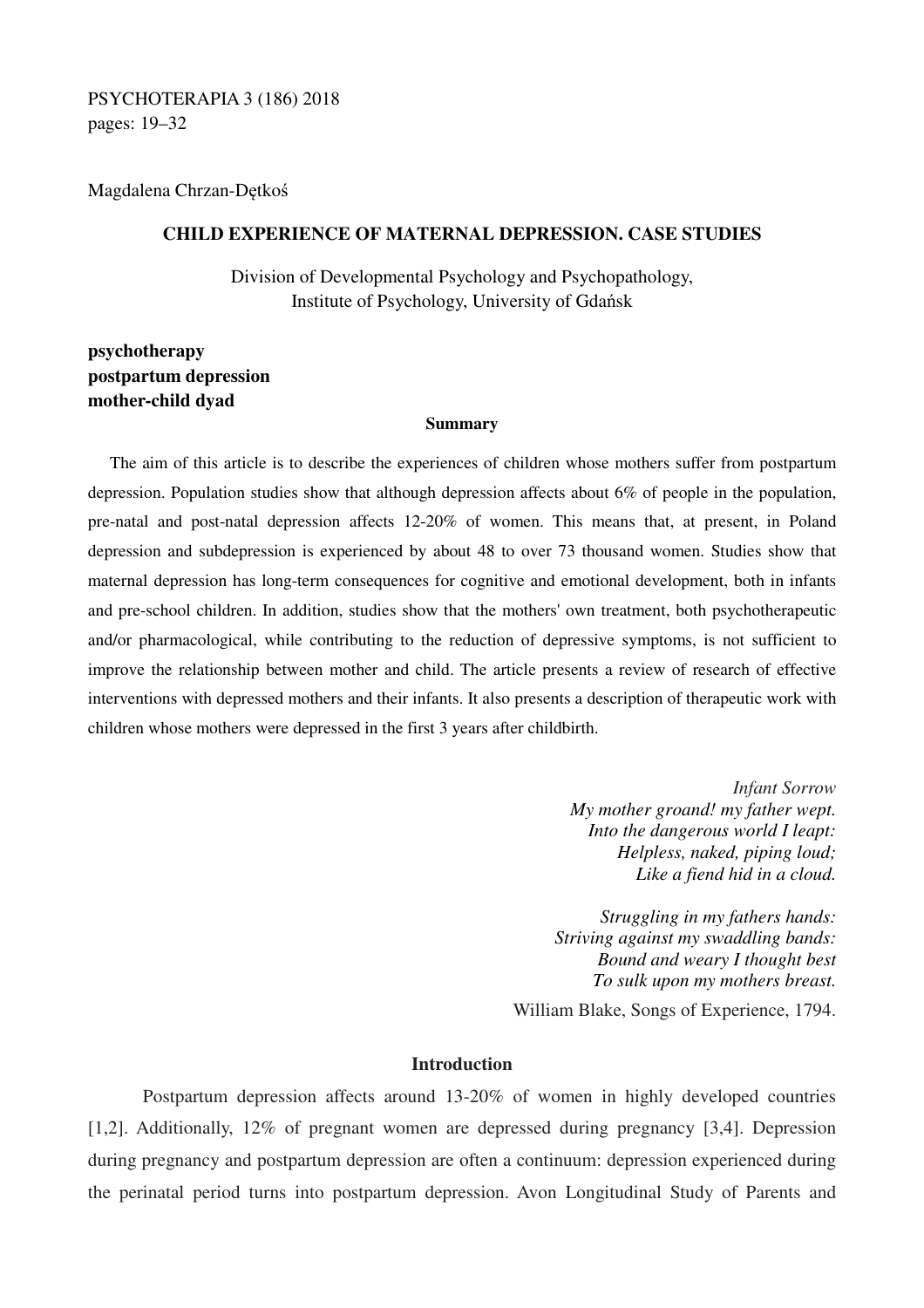PSYCHOTERAPIA 3 (186) 2018 pages: 19–32

Magdalena Chrzan-Dętkoś

# **CHILD EXPERIENCE OF MATERNAL DEPRESSION. CASE STUDIES**

Division of Developmental Psychology and Psychopathology, Institute of Psychology, University of Gdańsk

# **psychotherapy postpartum depression mother-child dyad**

#### **Summary**

The aim of this article is to describe the experiences of children whose mothers suffer from postpartum depression. Population studies show that although depression affects about 6% of people in the population, pre-natal and post-natal depression affects 12-20% of women. This means that, at present, in Poland depression and subdepression is experienced by about 48 to over 73 thousand women. Studies show that maternal depression has long-term consequences for cognitive and emotional development, both in infants and pre-school children. In addition, studies show that the mothers' own treatment, both psychotherapeutic and/or pharmacological, while contributing to the reduction of depressive symptoms, is not sufficient to improve the relationship between mother and child. The article presents a review of research of effective interventions with depressed mothers and their infants. It also presents a description of therapeutic work with children whose mothers were depressed in the first 3 years after childbirth.

> *Infant Sorrow My mother groand! my father wept. Into the dangerous world I leapt: Helpless, naked, piping loud; Like a fiend hid in a cloud.*

*Struggling in my fathers hands: Striving against my swaddling bands: Bound and weary I thought best To sulk upon my mothers breast.*

William Blake, Songs of Experience, 1794.

# **Introduction**

Postpartum depression affects around 13-20% of women in highly developed countries [1,2]. Additionally, 12% of pregnant women are depressed during pregnancy [3,4]. Depression during pregnancy and postpartum depression are often a continuum: depression experienced during the perinatal period turns into postpartum depression. Avon Longitudinal Study of Parents and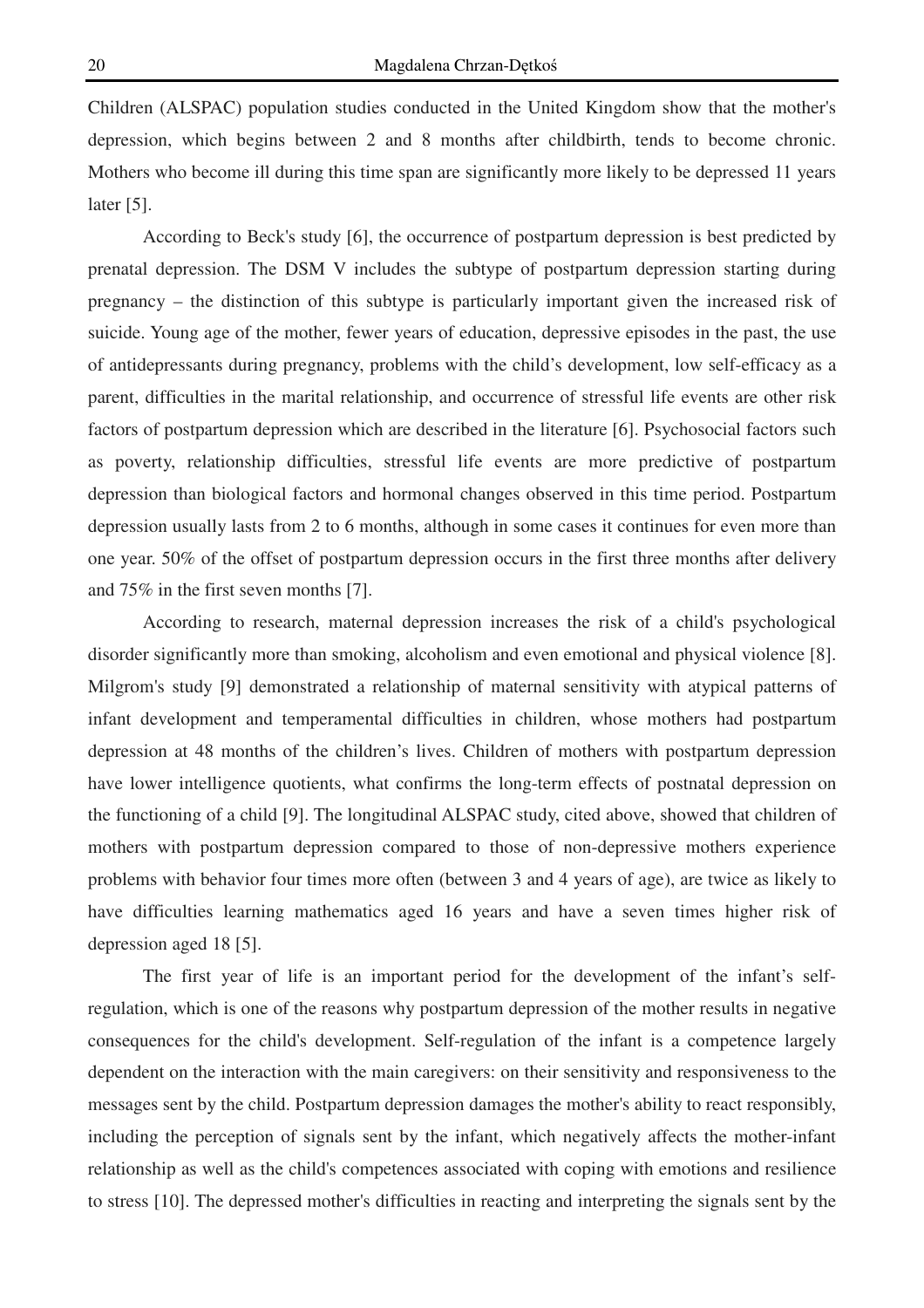Children (ALSPAC) population studies conducted in the United Kingdom show that the mother's depression, which begins between 2 and 8 months after childbirth, tends to become chronic. Mothers who become ill during this time span are significantly more likely to be depressed 11 years later [5].

According to Beck's study [6], the occurrence of postpartum depression is best predicted by prenatal depression. The DSM V includes the subtype of postpartum depression starting during pregnancy – the distinction of this subtype is particularly important given the increased risk of suicide. Young age of the mother, fewer years of education, depressive episodes in the past, the use of antidepressants during pregnancy, problems with the child's development, low self-efficacy as a parent, difficulties in the marital relationship, and occurrence of stressful life events are other risk factors of postpartum depression which are described in the literature [6]. Psychosocial factors such as poverty, relationship difficulties, stressful life events are more predictive of postpartum depression than biological factors and hormonal changes observed in this time period. Postpartum depression usually lasts from 2 to 6 months, although in some cases it continues for even more than one year. 50% of the offset of postpartum depression occurs in the first three months after delivery and 75% in the first seven months [7].

According to research, maternal depression increases the risk of a child's psychological disorder significantly more than smoking, alcoholism and even emotional and physical violence [8]. Milgrom's study [9] demonstrated a relationship of maternal sensitivity with atypical patterns of infant development and temperamental difficulties in children, whose mothers had postpartum depression at 48 months of the children's lives. Children of mothers with postpartum depression have lower intelligence quotients, what confirms the long-term effects of postnatal depression on the functioning of a child [9]. The longitudinal ALSPAC study, cited above, showed that children of mothers with postpartum depression compared to those of non-depressive mothers experience problems with behavior four times more often (between 3 and 4 years of age), are twice as likely to have difficulties learning mathematics aged 16 years and have a seven times higher risk of depression aged 18 [5].

The first year of life is an important period for the development of the infant's selfregulation, which is one of the reasons why postpartum depression of the mother results in negative consequences for the child's development. Self-regulation of the infant is a competence largely dependent on the interaction with the main caregivers: on their sensitivity and responsiveness to the messages sent by the child. Postpartum depression damages the mother's ability to react responsibly, including the perception of signals sent by the infant, which negatively affects the mother-infant relationship as well as the child's competences associated with coping with emotions and resilience to stress [10]. The depressed mother's difficulties in reacting and interpreting the signals sent by the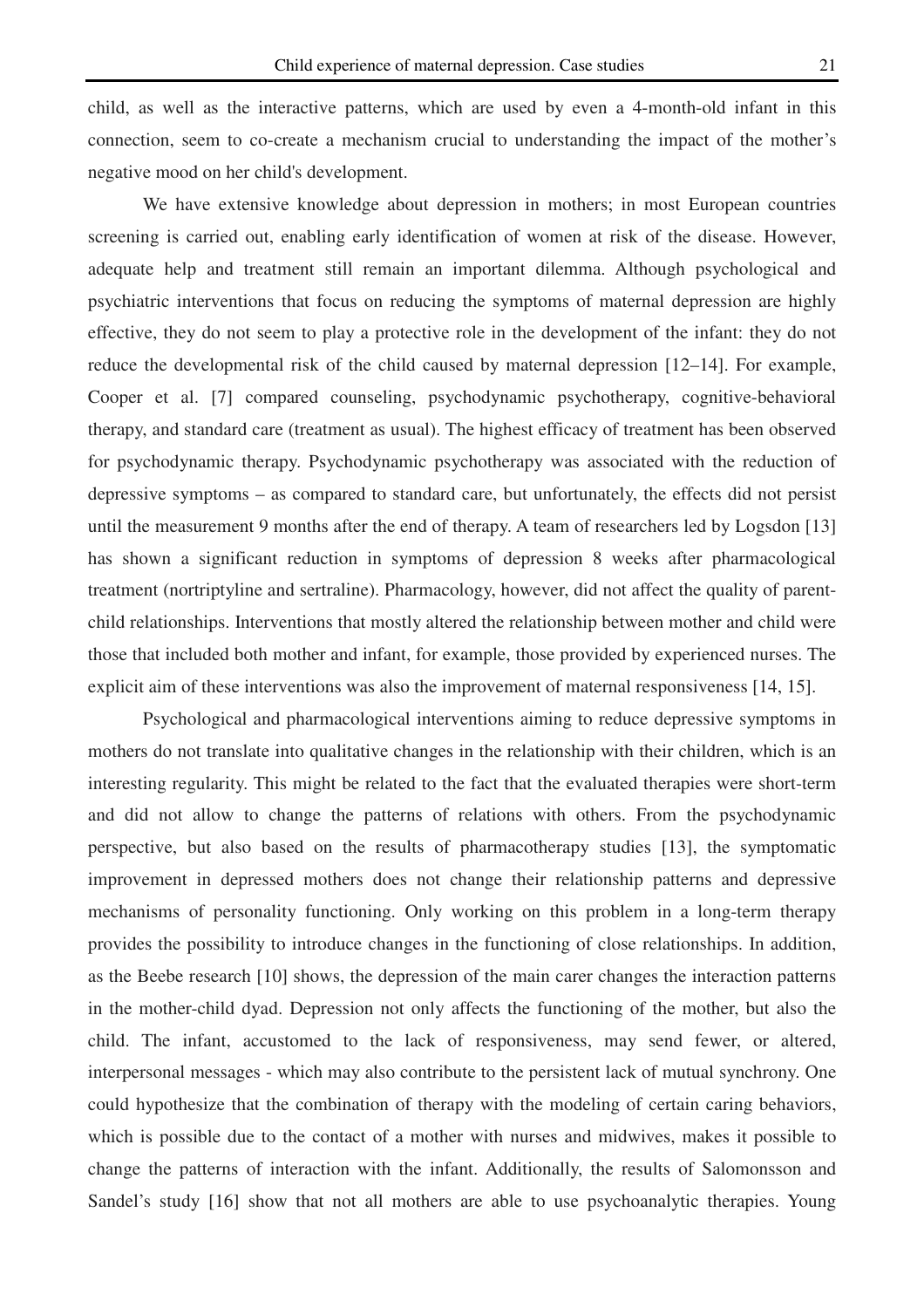child, as well as the interactive patterns, which are used by even a 4-month-old infant in this connection, seem to co-create a mechanism crucial to understanding the impact of the mother's negative mood on her child's development.

We have extensive knowledge about depression in mothers; in most European countries screening is carried out, enabling early identification of women at risk of the disease. However, adequate help and treatment still remain an important dilemma. Although psychological and psychiatric interventions that focus on reducing the symptoms of maternal depression are highly effective, they do not seem to play a protective role in the development of the infant: they do not reduce the developmental risk of the child caused by maternal depression [12–14]. For example, Cooper et al. [7] compared counseling, psychodynamic psychotherapy, cognitive-behavioral therapy, and standard care (treatment as usual). The highest efficacy of treatment has been observed for psychodynamic therapy. Psychodynamic psychotherapy was associated with the reduction of depressive symptoms – as compared to standard care, but unfortunately, the effects did not persist until the measurement 9 months after the end of therapy. A team of researchers led by Logsdon [13] has shown a significant reduction in symptoms of depression 8 weeks after pharmacological treatment (nortriptyline and sertraline). Pharmacology, however, did not affect the quality of parentchild relationships. Interventions that mostly altered the relationship between mother and child were those that included both mother and infant, for example, those provided by experienced nurses. The explicit aim of these interventions was also the improvement of maternal responsiveness [14, 15].

Psychological and pharmacological interventions aiming to reduce depressive symptoms in mothers do not translate into qualitative changes in the relationship with their children, which is an interesting regularity. This might be related to the fact that the evaluated therapies were short-term and did not allow to change the patterns of relations with others. From the psychodynamic perspective, but also based on the results of pharmacotherapy studies [13], the symptomatic improvement in depressed mothers does not change their relationship patterns and depressive mechanisms of personality functioning. Only working on this problem in a long-term therapy provides the possibility to introduce changes in the functioning of close relationships. In addition, as the Beebe research [10] shows, the depression of the main carer changes the interaction patterns in the mother-child dyad. Depression not only affects the functioning of the mother, but also the child. The infant, accustomed to the lack of responsiveness, may send fewer, or altered, interpersonal messages - which may also contribute to the persistent lack of mutual synchrony. One could hypothesize that the combination of therapy with the modeling of certain caring behaviors, which is possible due to the contact of a mother with nurses and midwives, makes it possible to change the patterns of interaction with the infant. Additionally, the results of Salomonsson and Sandel's study [16] show that not all mothers are able to use psychoanalytic therapies. Young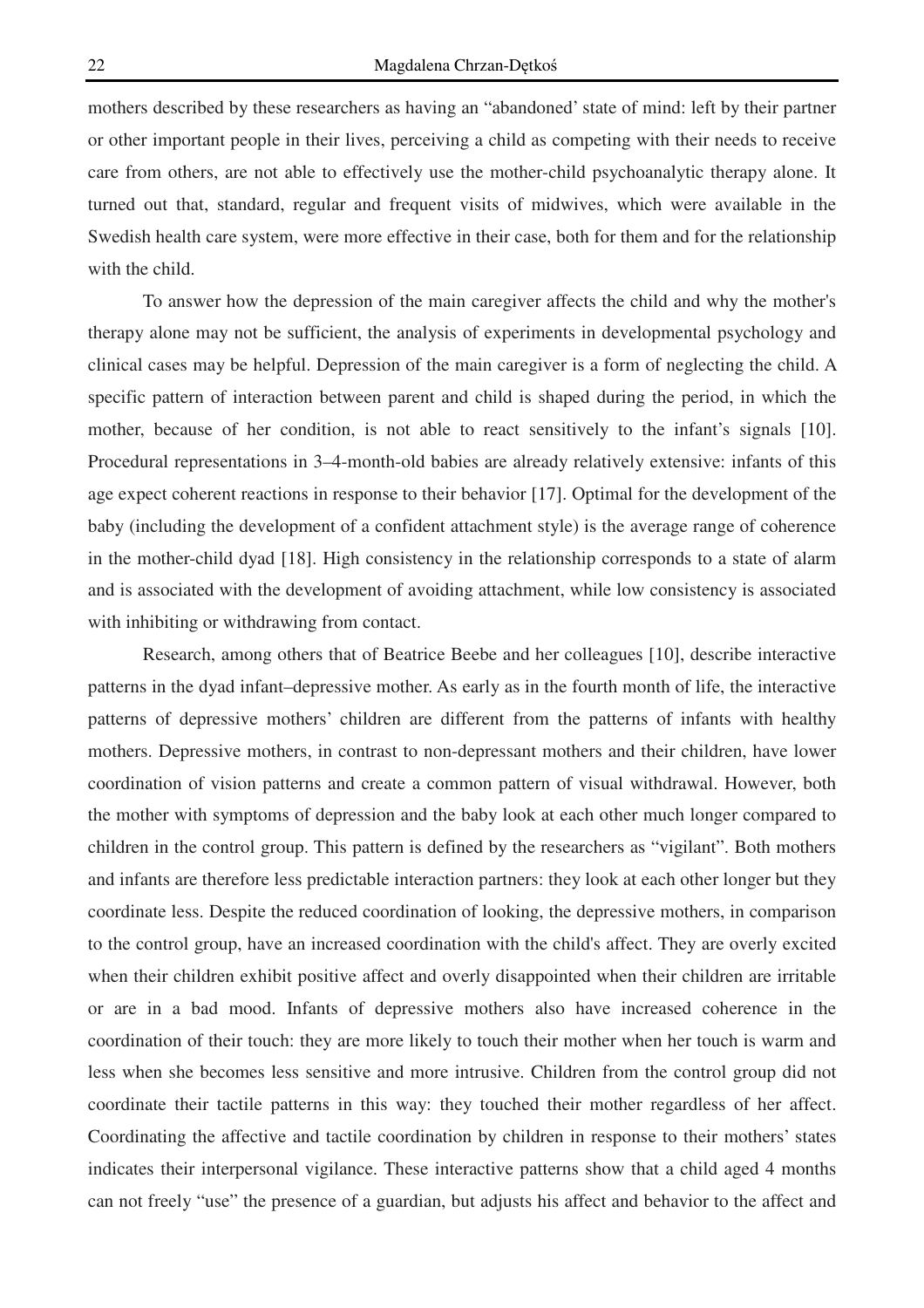mothers described by these researchers as having an "abandoned' state of mind: left by their partner or other important people in their lives, perceiving a child as competing with their needs to receive care from others, are not able to effectively use the mother-child psychoanalytic therapy alone. It turned out that, standard, regular and frequent visits of midwives, which were available in the Swedish health care system, were more effective in their case, both for them and for the relationship with the child.

 To answer how the depression of the main caregiver affects the child and why the mother's therapy alone may not be sufficient, the analysis of experiments in developmental psychology and clinical cases may be helpful. Depression of the main caregiver is a form of neglecting the child. A specific pattern of interaction between parent and child is shaped during the period, in which the mother, because of her condition, is not able to react sensitively to the infant's signals [10]. Procedural representations in 3–4-month-old babies are already relatively extensive: infants of this age expect coherent reactions in response to their behavior [17]. Optimal for the development of the baby (including the development of a confident attachment style) is the average range of coherence in the mother-child dyad [18]. High consistency in the relationship corresponds to a state of alarm and is associated with the development of avoiding attachment, while low consistency is associated with inhibiting or withdrawing from contact.

Research, among others that of Beatrice Beebe and her colleagues [10], describe interactive patterns in the dyad infant–depressive mother. As early as in the fourth month of life, the interactive patterns of depressive mothers' children are different from the patterns of infants with healthy mothers. Depressive mothers, in contrast to non-depressant mothers and their children, have lower coordination of vision patterns and create a common pattern of visual withdrawal. However, both the mother with symptoms of depression and the baby look at each other much longer compared to children in the control group. This pattern is defined by the researchers as "vigilant". Both mothers and infants are therefore less predictable interaction partners: they look at each other longer but they coordinate less. Despite the reduced coordination of looking, the depressive mothers, in comparison to the control group, have an increased coordination with the child's affect. They are overly excited when their children exhibit positive affect and overly disappointed when their children are irritable or are in a bad mood. Infants of depressive mothers also have increased coherence in the coordination of their touch: they are more likely to touch their mother when her touch is warm and less when she becomes less sensitive and more intrusive. Children from the control group did not coordinate their tactile patterns in this way: they touched their mother regardless of her affect. Coordinating the affective and tactile coordination by children in response to their mothers' states indicates their interpersonal vigilance. These interactive patterns show that a child aged 4 months can not freely "use" the presence of a guardian, but adjusts his affect and behavior to the affect and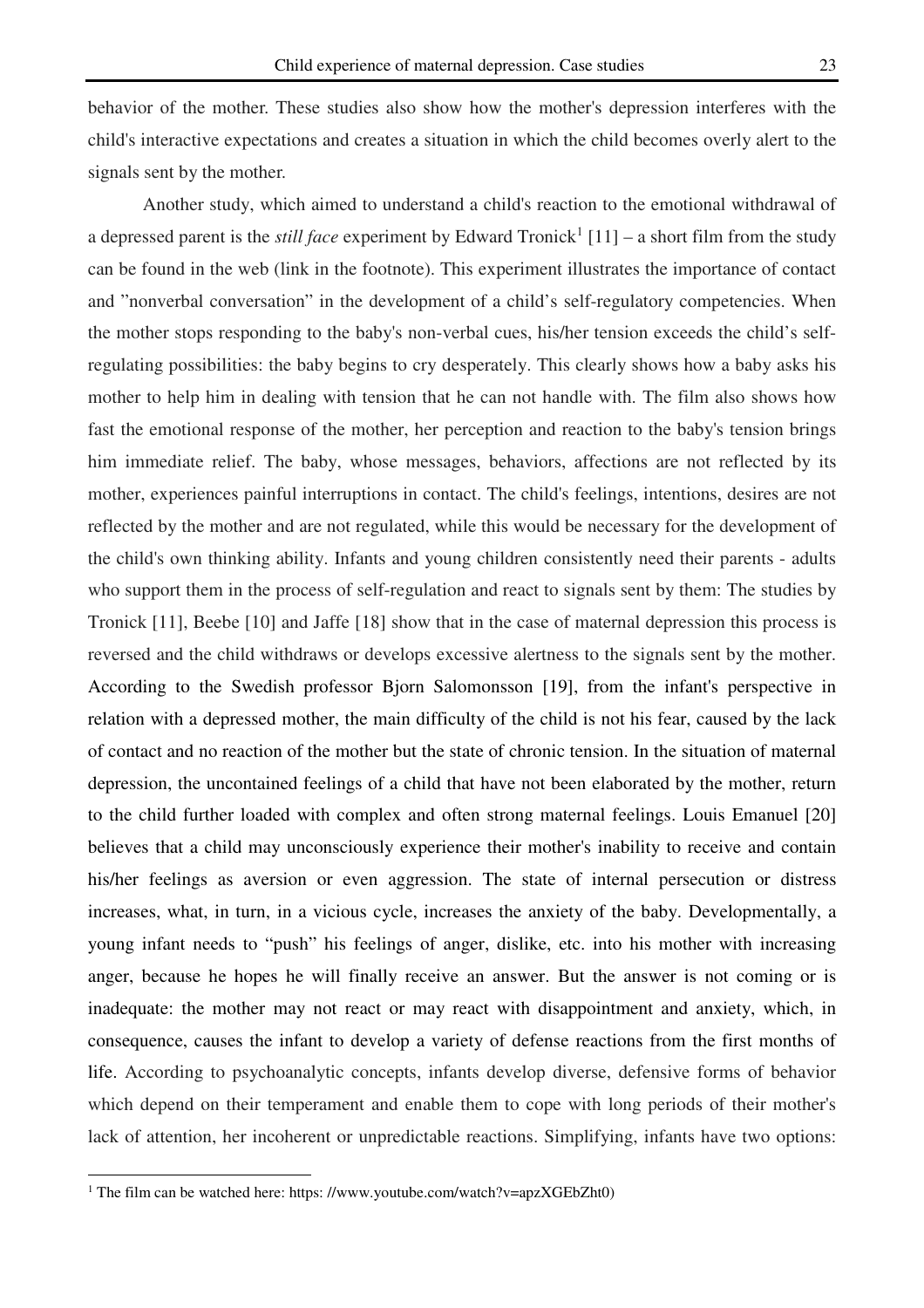behavior of the mother. These studies also show how the mother's depression interferes with the child's interactive expectations and creates a situation in which the child becomes overly alert to the signals sent by the mother.

Another study, which aimed to understand a child's reaction to the emotional withdrawal of a depressed parent is the *still face* experiment by Edward Tronick<sup>1</sup> [11] – a short film from the study can be found in the web (link in the footnote). This experiment illustrates the importance of contact and "nonverbal conversation" in the development of a child's self-regulatory competencies. When the mother stops responding to the baby's non-verbal cues, his/her tension exceeds the child's selfregulating possibilities: the baby begins to cry desperately. This clearly shows how a baby asks his mother to help him in dealing with tension that he can not handle with. The film also shows how fast the emotional response of the mother, her perception and reaction to the baby's tension brings him immediate relief. The baby, whose messages, behaviors, affections are not reflected by its mother, experiences painful interruptions in contact. The child's feelings, intentions, desires are not reflected by the mother and are not regulated, while this would be necessary for the development of the child's own thinking ability. Infants and young children consistently need their parents - adults who support them in the process of self-regulation and react to signals sent by them: The studies by Tronick [11], Beebe [10] and Jaffe [18] show that in the case of maternal depression this process is reversed and the child withdraws or develops excessive alertness to the signals sent by the mother. According to the Swedish professor Bjorn Salomonsson [19], from the infant's perspective in relation with a depressed mother, the main difficulty of the child is not his fear, caused by the lack of contact and no reaction of the mother but the state of chronic tension. In the situation of maternal depression, the uncontained feelings of a child that have not been elaborated by the mother, return to the child further loaded with complex and often strong maternal feelings. Louis Emanuel [20] believes that a child may unconsciously experience their mother's inability to receive and contain his/her feelings as aversion or even aggression. The state of internal persecution or distress increases, what, in turn, in a vicious cycle, increases the anxiety of the baby. Developmentally, a young infant needs to "push" his feelings of anger, dislike, etc. into his mother with increasing anger, because he hopes he will finally receive an answer. But the answer is not coming or is inadequate: the mother may not react or may react with disappointment and anxiety, which, in consequence, causes the infant to develop a variety of defense reactions from the first months of life. According to psychoanalytic concepts, infants develop diverse, defensive forms of behavior which depend on their temperament and enable them to cope with long periods of their mother's lack of attention, her incoherent or unpredictable reactions. Simplifying, infants have two options:

 $\overline{a}$ 

<sup>&</sup>lt;sup>1</sup> The film can be watched here: https://www.youtube.com/watch?v=apzXGEbZht0)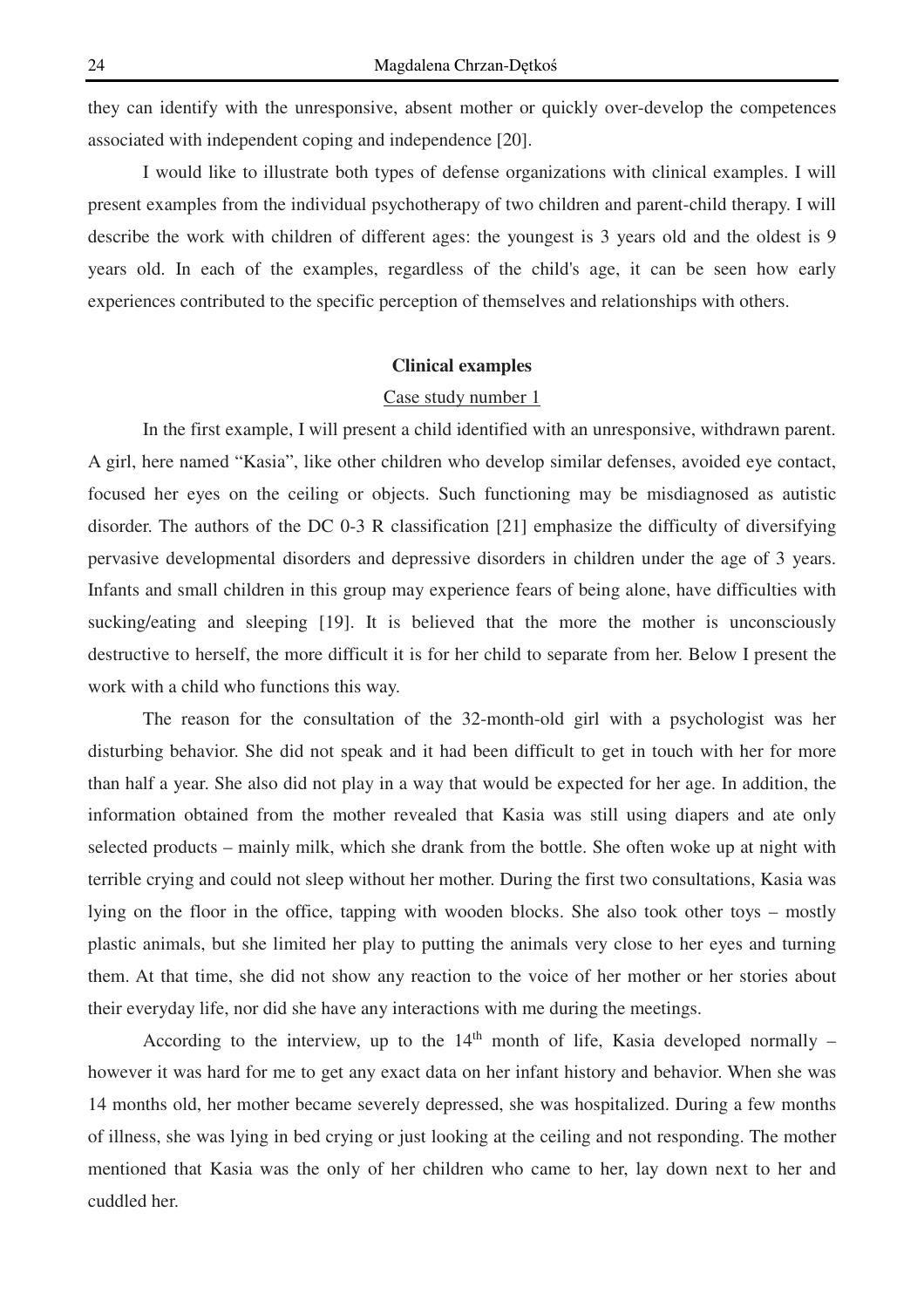they can identify with the unresponsive, absent mother or quickly over-develop the competences associated with independent coping and independence [20].

I would like to illustrate both types of defense organizations with clinical examples. I will present examples from the individual psychotherapy of two children and parent-child therapy. I will describe the work with children of different ages: the youngest is 3 years old and the oldest is 9 years old. In each of the examples, regardless of the child's age, it can be seen how early experiences contributed to the specific perception of themselves and relationships with others.

# **Clinical examples**

#### Case study number 1

In the first example, I will present a child identified with an unresponsive, withdrawn parent. A girl, here named "Kasia", like other children who develop similar defenses, avoided eye contact, focused her eyes on the ceiling or objects. Such functioning may be misdiagnosed as autistic disorder. The authors of the DC 0-3 R classification [21] emphasize the difficulty of diversifying pervasive developmental disorders and depressive disorders in children under the age of 3 years. Infants and small children in this group may experience fears of being alone, have difficulties with sucking/eating and sleeping [19]. It is believed that the more the mother is unconsciously destructive to herself, the more difficult it is for her child to separate from her. Below I present the work with a child who functions this way.

The reason for the consultation of the 32-month-old girl with a psychologist was her disturbing behavior. She did not speak and it had been difficult to get in touch with her for more than half a year. She also did not play in a way that would be expected for her age. In addition, the information obtained from the mother revealed that Kasia was still using diapers and ate only selected products – mainly milk, which she drank from the bottle. She often woke up at night with terrible crying and could not sleep without her mother. During the first two consultations, Kasia was lying on the floor in the office, tapping with wooden blocks. She also took other toys – mostly plastic animals, but she limited her play to putting the animals very close to her eyes and turning them. At that time, she did not show any reaction to the voice of her mother or her stories about their everyday life, nor did she have any interactions with me during the meetings.

According to the interview, up to the  $14<sup>th</sup>$  month of life, Kasia developed normally – however it was hard for me to get any exact data on her infant history and behavior. When she was 14 months old, her mother became severely depressed, she was hospitalized. During a few months of illness, she was lying in bed crying or just looking at the ceiling and not responding. The mother mentioned that Kasia was the only of her children who came to her, lay down next to her and cuddled her.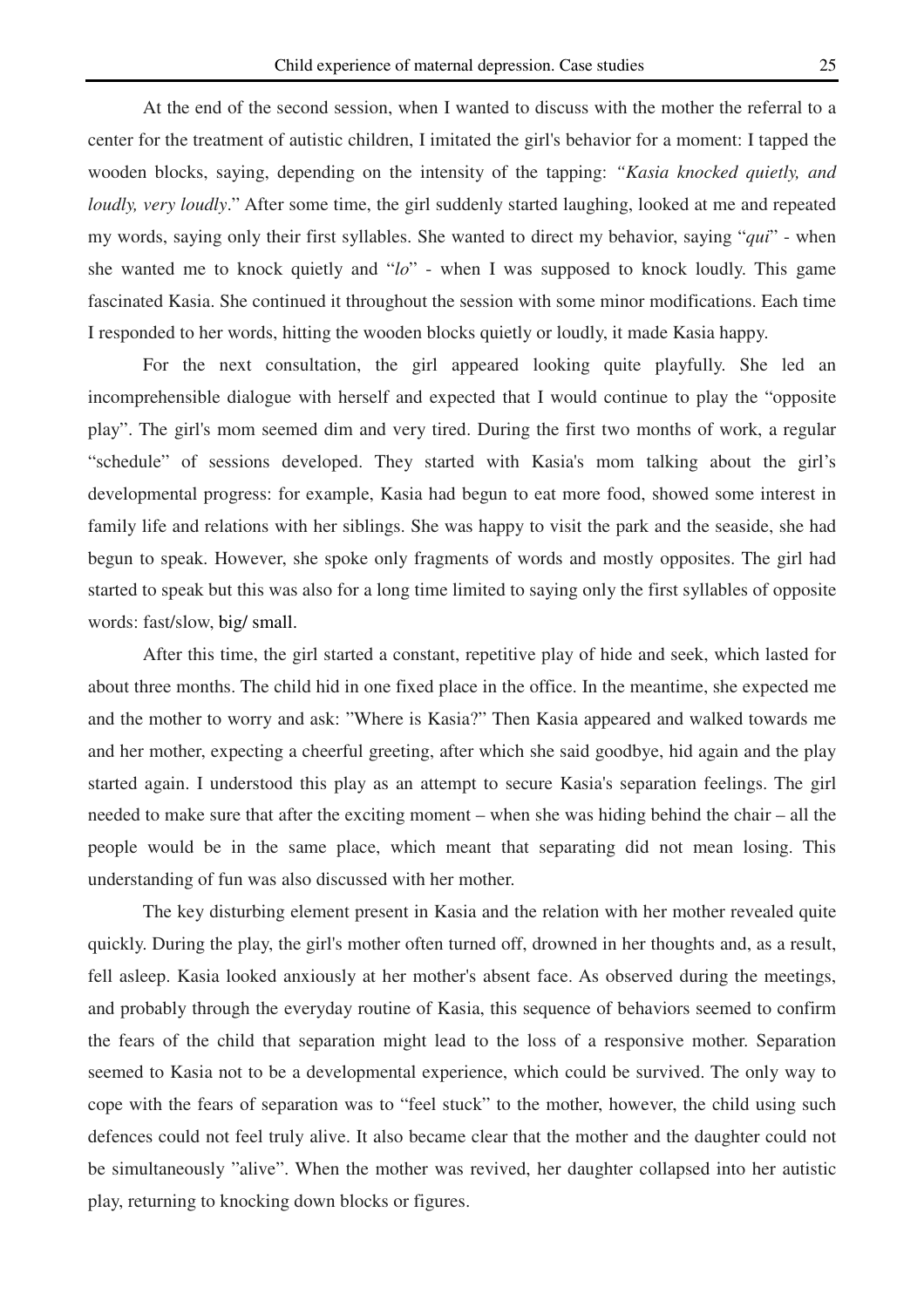At the end of the second session, when I wanted to discuss with the mother the referral to a center for the treatment of autistic children, I imitated the girl's behavior for a moment: I tapped the wooden blocks, saying, depending on the intensity of the tapping: *"Kasia knocked quietly, and loudly, very loudly.*" After some time, the girl suddenly started laughing, looked at me and repeated my words, saying only their first syllables. She wanted to direct my behavior, saying "*qui*" - when she wanted me to knock quietly and "*lo*" - when I was supposed to knock loudly. This game fascinated Kasia. She continued it throughout the session with some minor modifications. Each time I responded to her words, hitting the wooden blocks quietly or loudly, it made Kasia happy.

For the next consultation, the girl appeared looking quite playfully. She led an incomprehensible dialogue with herself and expected that I would continue to play the "opposite play". The girl's mom seemed dim and very tired. During the first two months of work, a regular "schedule" of sessions developed. They started with Kasia's mom talking about the girl's developmental progress: for example, Kasia had begun to eat more food, showed some interest in family life and relations with her siblings. She was happy to visit the park and the seaside, she had begun to speak. However, she spoke only fragments of words and mostly opposites. The girl had started to speak but this was also for a long time limited to saying only the first syllables of opposite words: fast/slow, big/ small.

After this time, the girl started a constant, repetitive play of hide and seek, which lasted for about three months. The child hid in one fixed place in the office. In the meantime, she expected me and the mother to worry and ask: "Where is Kasia?" Then Kasia appeared and walked towards me and her mother, expecting a cheerful greeting, after which she said goodbye, hid again and the play started again. I understood this play as an attempt to secure Kasia's separation feelings. The girl needed to make sure that after the exciting moment – when she was hiding behind the chair – all the people would be in the same place, which meant that separating did not mean losing. This understanding of fun was also discussed with her mother.

The key disturbing element present in Kasia and the relation with her mother revealed quite quickly. During the play, the girl's mother often turned off, drowned in her thoughts and, as a result, fell asleep. Kasia looked anxiously at her mother's absent face. As observed during the meetings, and probably through the everyday routine of Kasia, this sequence of behaviors seemed to confirm the fears of the child that separation might lead to the loss of a responsive mother. Separation seemed to Kasia not to be a developmental experience, which could be survived. The only way to cope with the fears of separation was to "feel stuck" to the mother, however, the child using such defences could not feel truly alive. It also became clear that the mother and the daughter could not be simultaneously "alive". When the mother was revived, her daughter collapsed into her autistic play, returning to knocking down blocks or figures.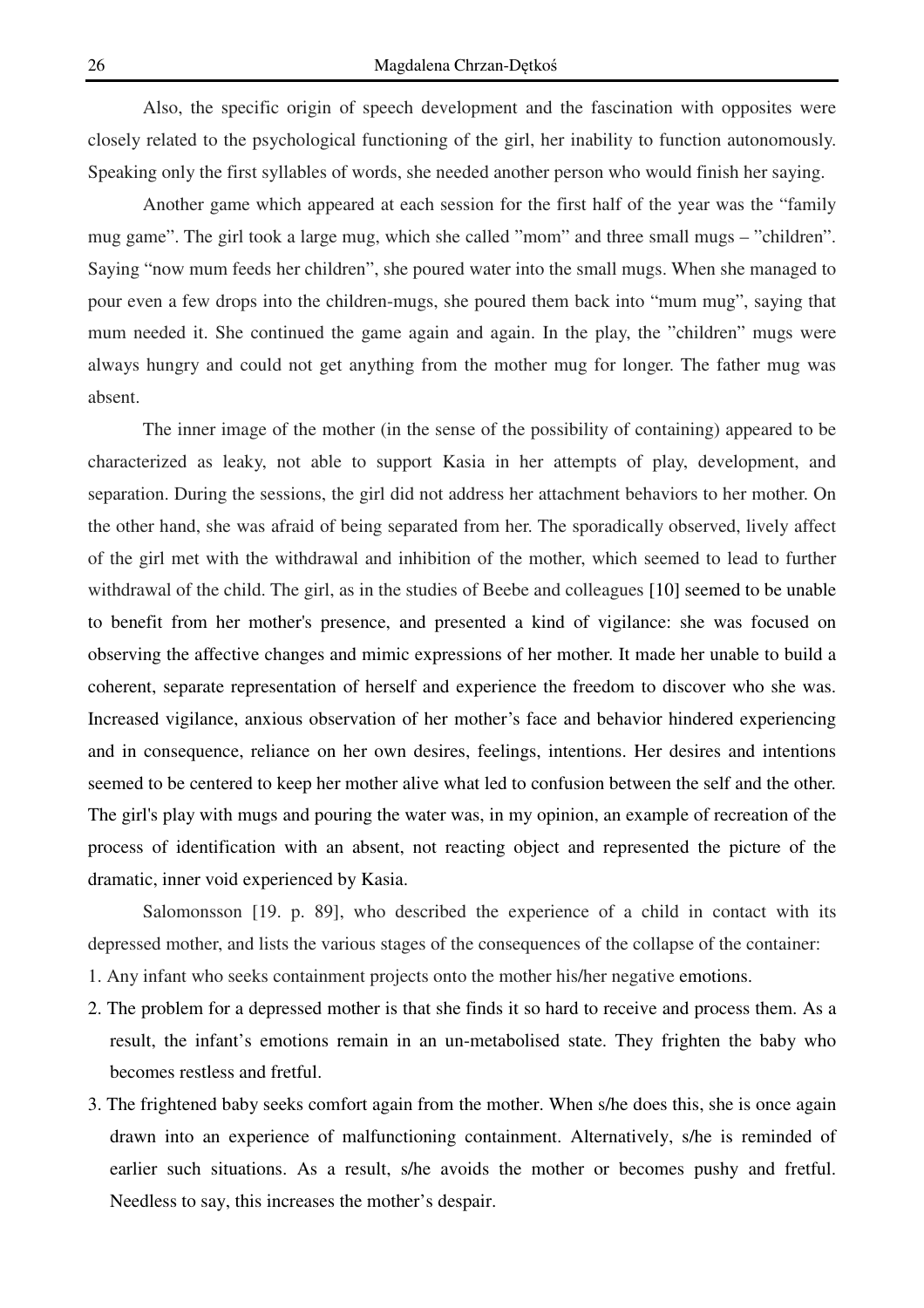Also, the specific origin of speech development and the fascination with opposites were closely related to the psychological functioning of the girl, her inability to function autonomously. Speaking only the first syllables of words, she needed another person who would finish her saying.

Another game which appeared at each session for the first half of the year was the "family mug game". The girl took a large mug, which she called "mom" and three small mugs – "children". Saying "now mum feeds her children", she poured water into the small mugs. When she managed to pour even a few drops into the children-mugs, she poured them back into "mum mug", saying that mum needed it. She continued the game again and again. In the play, the "children" mugs were always hungry and could not get anything from the mother mug for longer. The father mug was absent.

The inner image of the mother (in the sense of the possibility of containing) appeared to be characterized as leaky, not able to support Kasia in her attempts of play, development, and separation. During the sessions, the girl did not address her attachment behaviors to her mother. On the other hand, she was afraid of being separated from her. The sporadically observed, lively affect of the girl met with the withdrawal and inhibition of the mother, which seemed to lead to further withdrawal of the child. The girl, as in the studies of Beebe and colleagues [10] seemed to be unable to benefit from her mother's presence, and presented a kind of vigilance: she was focused on observing the affective changes and mimic expressions of her mother. It made her unable to build a coherent, separate representation of herself and experience the freedom to discover who she was. Increased vigilance, anxious observation of her mother's face and behavior hindered experiencing and in consequence, reliance on her own desires, feelings, intentions. Her desires and intentions seemed to be centered to keep her mother alive what led to confusion between the self and the other. The girl's play with mugs and pouring the water was, in my opinion, an example of recreation of the process of identification with an absent, not reacting object and represented the picture of the dramatic, inner void experienced by Kasia.

Salomonsson [19. p. 89], who described the experience of a child in contact with its depressed mother, and lists the various stages of the consequences of the collapse of the container:

- 1. Any infant who seeks containment projects onto the mother his/her negative emotions.
- 2. The problem for a depressed mother is that she finds it so hard to receive and process them. As a result, the infant's emotions remain in an un-metabolised state. They frighten the baby who becomes restless and fretful.
- 3. The frightened baby seeks comfort again from the mother. When s/he does this, she is once again drawn into an experience of malfunctioning containment. Alternatively, s/he is reminded of earlier such situations. As a result, s/he avoids the mother or becomes pushy and fretful. Needless to say, this increases the mother's despair.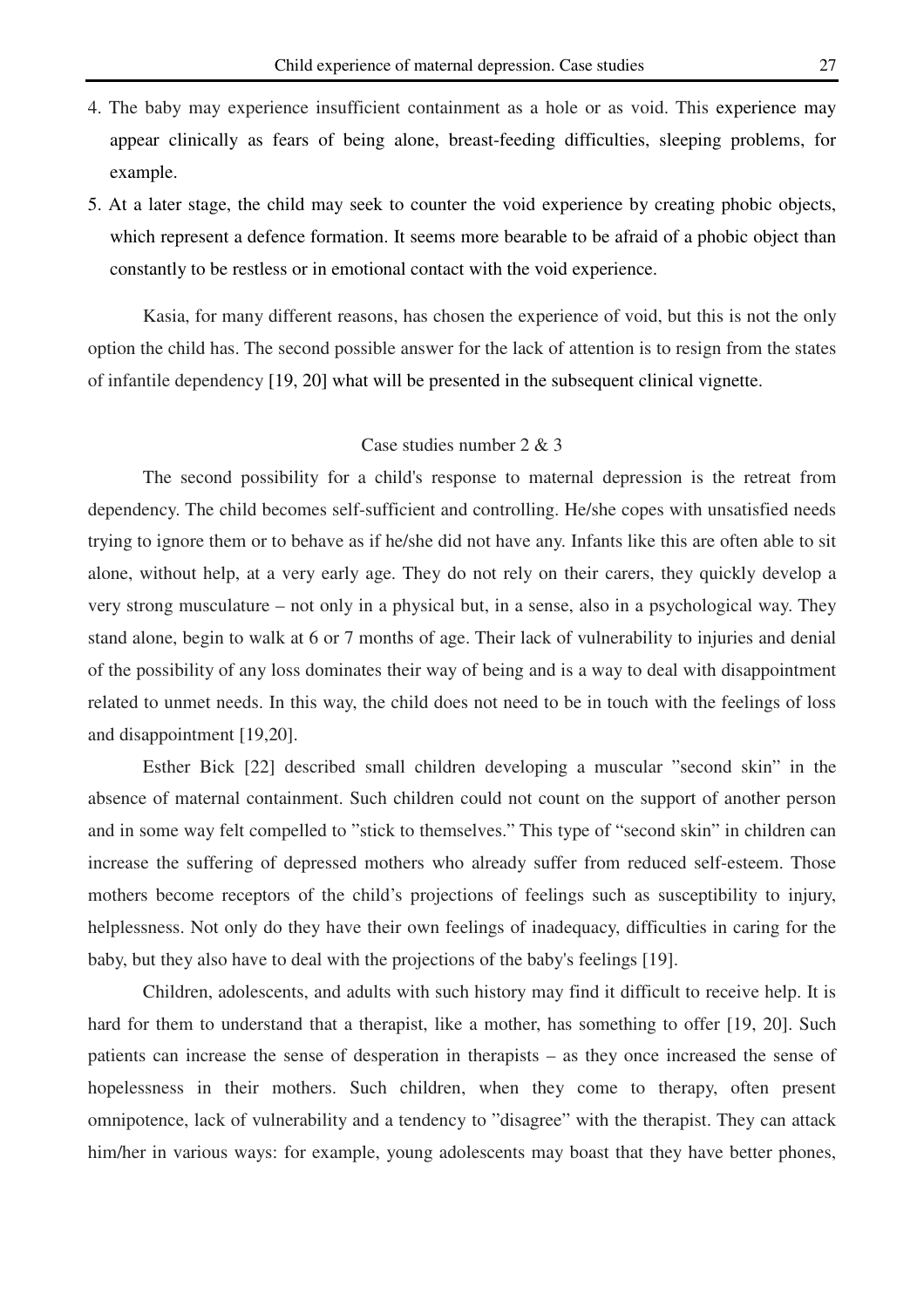- 4. The baby may experience insufficient containment as a hole or as void. This experience may appear clinically as fears of being alone, breast-feeding difficulties, sleeping problems, for example.
- 5. At a later stage, the child may seek to counter the void experience by creating phobic objects, which represent a defence formation. It seems more bearable to be afraid of a phobic object than constantly to be restless or in emotional contact with the void experience.

Kasia, for many different reasons, has chosen the experience of void, but this is not the only option the child has. The second possible answer for the lack of attention is to resign from the states of infantile dependency [19, 20] what will be presented in the subsequent clinical vignette.

### Case studies number 2 & 3

The second possibility for a child's response to maternal depression is the retreat from dependency. The child becomes self-sufficient and controlling. He/she copes with unsatisfied needs trying to ignore them or to behave as if he/she did not have any. Infants like this are often able to sit alone, without help, at a very early age. They do not rely on their carers, they quickly develop a very strong musculature – not only in a physical but, in a sense, also in a psychological way. They stand alone, begin to walk at 6 or 7 months of age. Their lack of vulnerability to injuries and denial of the possibility of any loss dominates their way of being and is a way to deal with disappointment related to unmet needs. In this way, the child does not need to be in touch with the feelings of loss and disappointment [19,20].

Esther Bick [22] described small children developing a muscular "second skin" in the absence of maternal containment. Such children could not count on the support of another person and in some way felt compelled to "stick to themselves." This type of "second skin" in children can increase the suffering of depressed mothers who already suffer from reduced self-esteem. Those mothers become receptors of the child's projections of feelings such as susceptibility to injury, helplessness. Not only do they have their own feelings of inadequacy, difficulties in caring for the baby, but they also have to deal with the projections of the baby's feelings [19].

Children, adolescents, and adults with such history may find it difficult to receive help. It is hard for them to understand that a therapist, like a mother, has something to offer [19, 20]. Such patients can increase the sense of desperation in therapists – as they once increased the sense of hopelessness in their mothers. Such children, when they come to therapy, often present omnipotence, lack of vulnerability and a tendency to "disagree" with the therapist. They can attack him/her in various ways: for example, young adolescents may boast that they have better phones,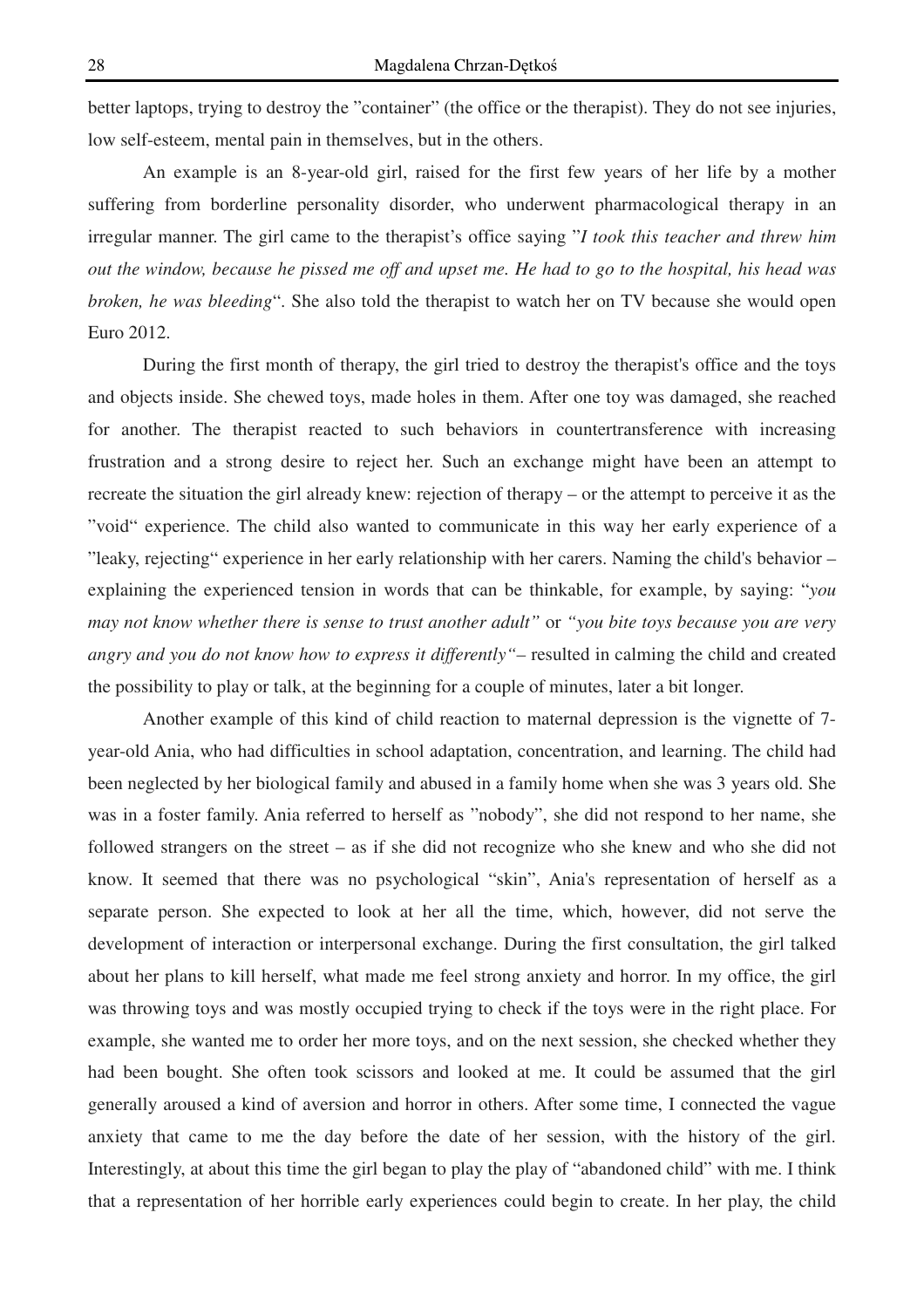better laptops, trying to destroy the "container" (the office or the therapist). They do not see injuries, low self-esteem, mental pain in themselves, but in the others.

An example is an 8-year-old girl, raised for the first few years of her life by a mother suffering from borderline personality disorder, who underwent pharmacological therapy in an irregular manner. The girl came to the therapist's office saying "*I took this teacher and threw him out the window, because he pissed me off and upset me. He had to go to the hospital, his head was broken, he was bleeding*". She also told the therapist to watch her on TV because she would open Euro 2012.

During the first month of therapy, the girl tried to destroy the therapist's office and the toys and objects inside. She chewed toys, made holes in them. After one toy was damaged, she reached for another. The therapist reacted to such behaviors in countertransference with increasing frustration and a strong desire to reject her. Such an exchange might have been an attempt to recreate the situation the girl already knew: rejection of therapy – or the attempt to perceive it as the "void" experience. The child also wanted to communicate in this way her early experience of a "leaky, rejecting" experience in her early relationship with her carers. Naming the child's behavior – explaining the experienced tension in words that can be thinkable, for example, by saying: "*you may not know whether there is sense to trust another adult"* or *"you bite toys because you are very angry and you do not know how to express it differently"–* resulted in calming the child and created the possibility to play or talk, at the beginning for a couple of minutes, later a bit longer.

 Another example of this kind of child reaction to maternal depression is the vignette of 7 year-old Ania, who had difficulties in school adaptation, concentration, and learning. The child had been neglected by her biological family and abused in a family home when she was 3 years old. She was in a foster family. Ania referred to herself as "nobody", she did not respond to her name, she followed strangers on the street – as if she did not recognize who she knew and who she did not know. It seemed that there was no psychological "skin", Ania's representation of herself as a separate person. She expected to look at her all the time, which, however, did not serve the development of interaction or interpersonal exchange. During the first consultation, the girl talked about her plans to kill herself, what made me feel strong anxiety and horror. In my office, the girl was throwing toys and was mostly occupied trying to check if the toys were in the right place. For example, she wanted me to order her more toys, and on the next session, she checked whether they had been bought. She often took scissors and looked at me. It could be assumed that the girl generally aroused a kind of aversion and horror in others. After some time, I connected the vague anxiety that came to me the day before the date of her session, with the history of the girl. Interestingly, at about this time the girl began to play the play of "abandoned child" with me. I think that a representation of her horrible early experiences could begin to create. In her play, the child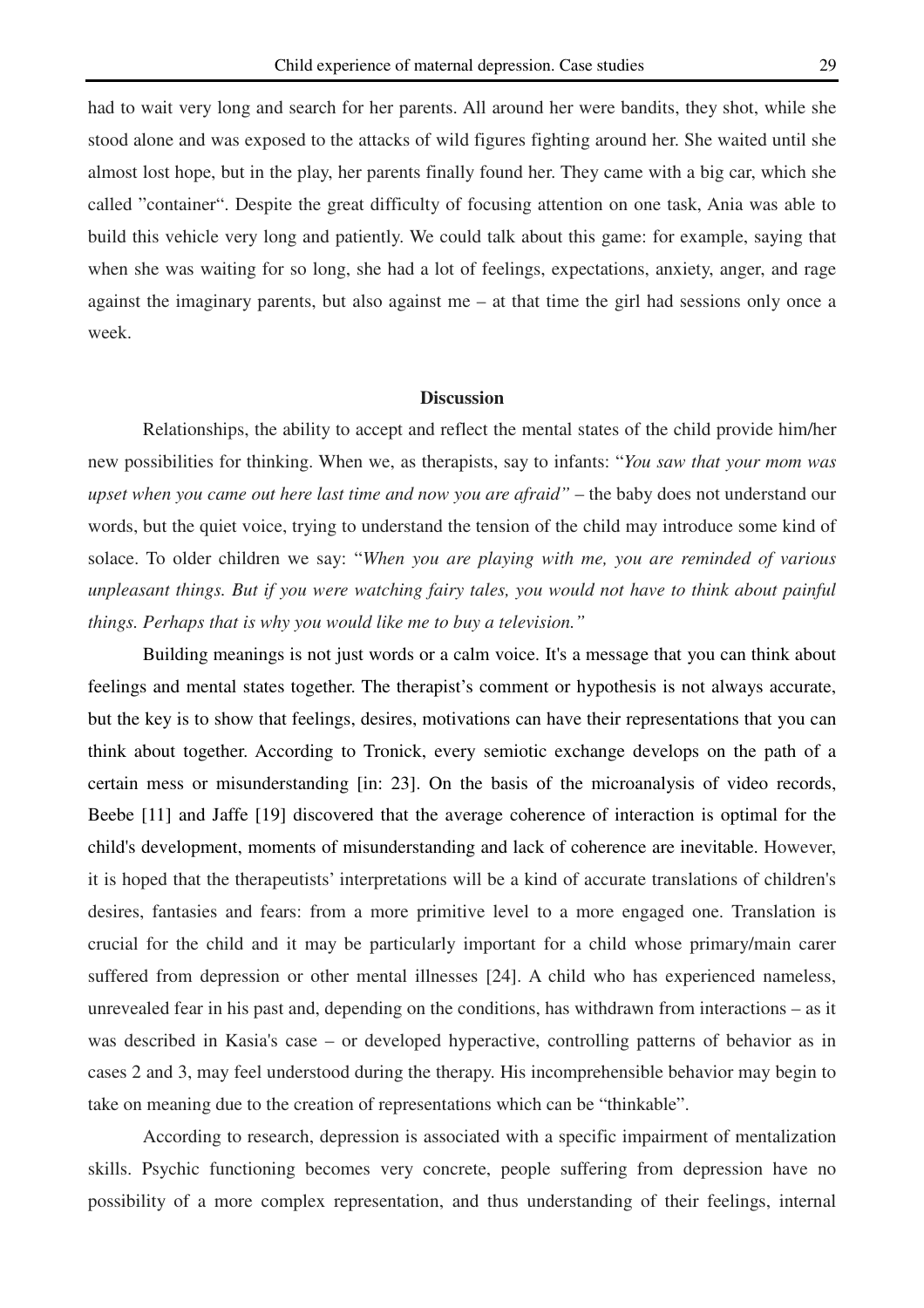had to wait very long and search for her parents. All around her were bandits, they shot, while she stood alone and was exposed to the attacks of wild figures fighting around her. She waited until she almost lost hope, but in the play, her parents finally found her. They came with a big car, which she called "container". Despite the great difficulty of focusing attention on one task, Ania was able to build this vehicle very long and patiently. We could talk about this game: for example, saying that when she was waiting for so long, she had a lot of feelings, expectations, anxiety, anger, and rage against the imaginary parents, but also against me – at that time the girl had sessions only once a week.

#### **Discussion**

Relationships, the ability to accept and reflect the mental states of the child provide him/her new possibilities for thinking. When we, as therapists, say to infants: "*You saw that your mom was upset when you came out here last time and now you are afraid"* – the baby does not understand our words, but the quiet voice, trying to understand the tension of the child may introduce some kind of solace. To older children we say: "*When you are playing with me, you are reminded of various unpleasant things. But if you were watching fairy tales, you would not have to think about painful things. Perhaps that is why you would like me to buy a television."*

Building meanings is not just words or a calm voice. It's a message that you can think about feelings and mental states together. The therapist's comment or hypothesis is not always accurate, but the key is to show that feelings, desires, motivations can have their representations that you can think about together. According to Tronick, every semiotic exchange develops on the path of a certain mess or misunderstanding [in: 23]. On the basis of the microanalysis of video records, Beebe [11] and Jaffe [19] discovered that the average coherence of interaction is optimal for the child's development, moments of misunderstanding and lack of coherence are inevitable. However, it is hoped that the therapeutists' interpretations will be a kind of accurate translations of children's desires, fantasies and fears: from a more primitive level to a more engaged one. Translation is crucial for the child and it may be particularly important for a child whose primary/main carer suffered from depression or other mental illnesses [24]. A child who has experienced nameless, unrevealed fear in his past and, depending on the conditions, has withdrawn from interactions – as it was described in Kasia's case – or developed hyperactive, controlling patterns of behavior as in cases 2 and 3, may feel understood during the therapy. His incomprehensible behavior may begin to take on meaning due to the creation of representations which can be "thinkable".

According to research, depression is associated with a specific impairment of mentalization skills. Psychic functioning becomes very concrete, people suffering from depression have no possibility of a more complex representation, and thus understanding of their feelings, internal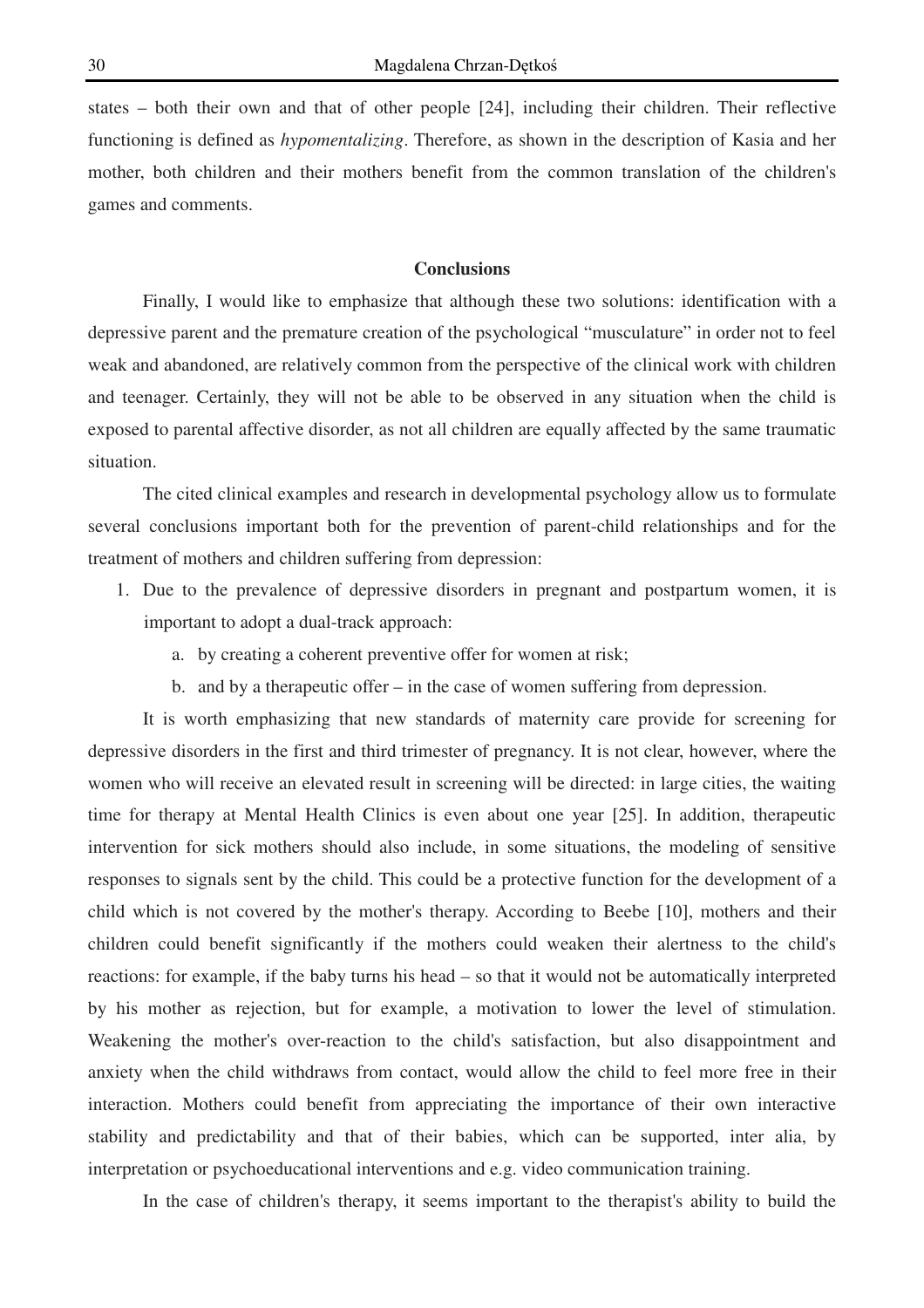states – both their own and that of other people [24], including their children. Their reflective functioning is defined as *hypomentalizing*. Therefore, as shown in the description of Kasia and her mother, both children and their mothers benefit from the common translation of the children's games and comments.

# **Conclusions**

 Finally, I would like to emphasize that although these two solutions: identification with a depressive parent and the premature creation of the psychological "musculature" in order not to feel weak and abandoned, are relatively common from the perspective of the clinical work with children and teenager. Certainly, they will not be able to be observed in any situation when the child is exposed to parental affective disorder, as not all children are equally affected by the same traumatic situation.

The cited clinical examples and research in developmental psychology allow us to formulate several conclusions important both for the prevention of parent-child relationships and for the treatment of mothers and children suffering from depression:

- 1. Due to the prevalence of depressive disorders in pregnant and postpartum women, it is important to adopt a dual-track approach:
	- a. by creating a coherent preventive offer for women at risk;
	- b. and by a therapeutic offer in the case of women suffering from depression.

 It is worth emphasizing that new standards of maternity care provide for screening for depressive disorders in the first and third trimester of pregnancy. It is not clear, however, where the women who will receive an elevated result in screening will be directed: in large cities, the waiting time for therapy at Mental Health Clinics is even about one year [25]. In addition, therapeutic intervention for sick mothers should also include, in some situations, the modeling of sensitive responses to signals sent by the child. This could be a protective function for the development of a child which is not covered by the mother's therapy. According to Beebe [10], mothers and their children could benefit significantly if the mothers could weaken their alertness to the child's reactions: for example, if the baby turns his head – so that it would not be automatically interpreted by his mother as rejection, but for example, a motivation to lower the level of stimulation. Weakening the mother's over-reaction to the child's satisfaction, but also disappointment and anxiety when the child withdraws from contact, would allow the child to feel more free in their interaction. Mothers could benefit from appreciating the importance of their own interactive stability and predictability and that of their babies, which can be supported, inter alia, by interpretation or psychoeducational interventions and e.g. video communication training.

In the case of children's therapy, it seems important to the therapist's ability to build the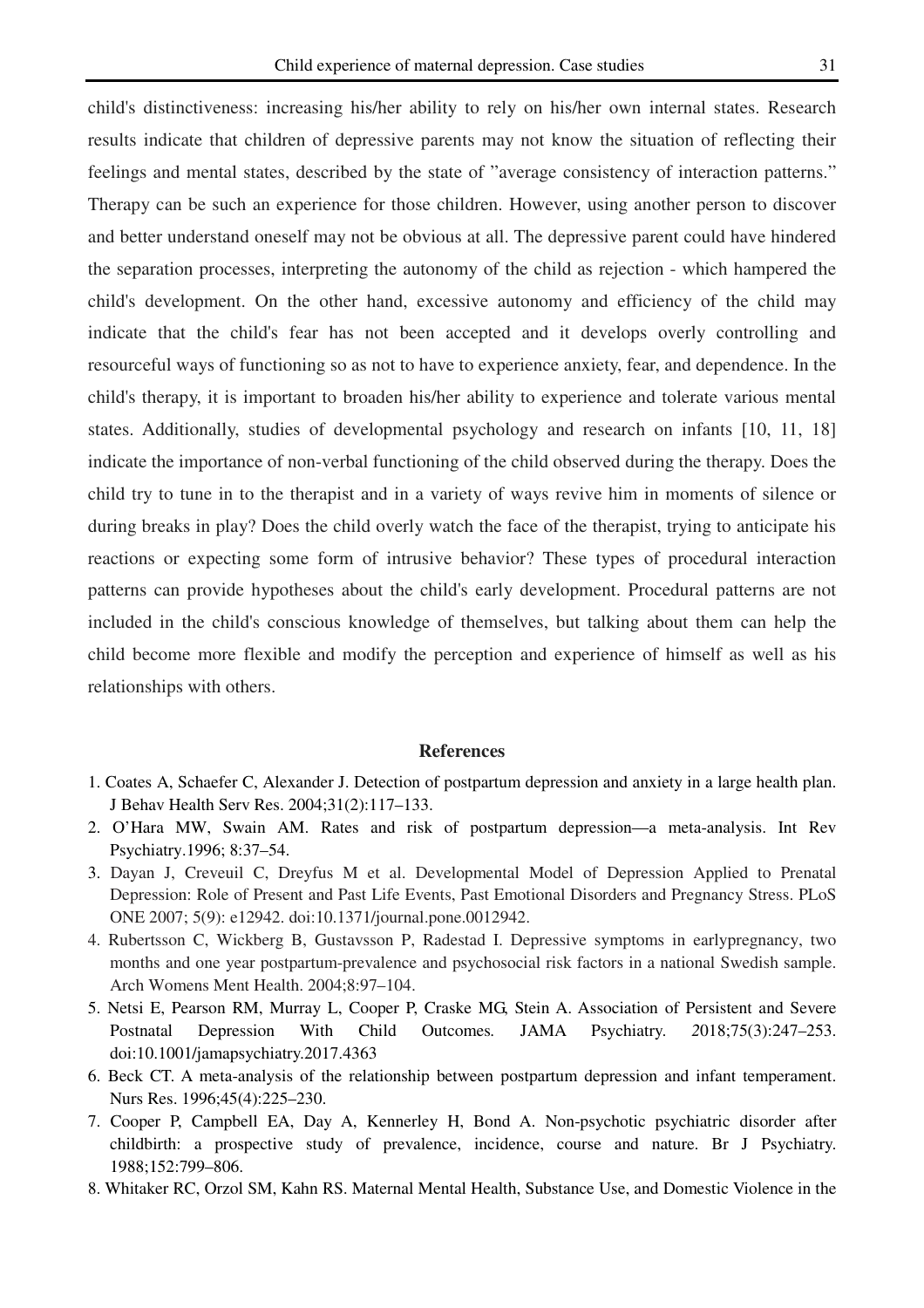child's distinctiveness: increasing his/her ability to rely on his/her own internal states. Research results indicate that children of depressive parents may not know the situation of reflecting their feelings and mental states, described by the state of "average consistency of interaction patterns." Therapy can be such an experience for those children. However, using another person to discover and better understand oneself may not be obvious at all. The depressive parent could have hindered the separation processes, interpreting the autonomy of the child as rejection - which hampered the child's development. On the other hand, excessive autonomy and efficiency of the child may indicate that the child's fear has not been accepted and it develops overly controlling and resourceful ways of functioning so as not to have to experience anxiety, fear, and dependence. In the child's therapy, it is important to broaden his/her ability to experience and tolerate various mental states. Additionally, studies of developmental psychology and research on infants [10, 11, 18] indicate the importance of non-verbal functioning of the child observed during the therapy. Does the child try to tune in to the therapist and in a variety of ways revive him in moments of silence or during breaks in play? Does the child overly watch the face of the therapist, trying to anticipate his reactions or expecting some form of intrusive behavior? These types of procedural interaction patterns can provide hypotheses about the child's early development. Procedural patterns are not included in the child's conscious knowledge of themselves, but talking about them can help the child become more flexible and modify the perception and experience of himself as well as his relationships with others.

#### **References**

- 1. Coates A, Schaefer C, Alexander J. Detection of postpartum depression and anxiety in a large health plan. J Behav Health Serv Res. 2004;31(2):117–133.
- 2. O'Hara MW, Swain AM. Rates and risk of postpartum depression—a meta-analysis. Int Rev Psychiatry.1996; 8:37–54.
- 3. Dayan J, Creveuil C, Dreyfus M et al. Developmental Model of Depression Applied to Prenatal Depression: Role of Present and Past Life Events, Past Emotional Disorders and Pregnancy Stress. PLoS ONE 2007; 5(9): e12942. doi:10.1371/journal.pone.0012942.
- 4. Rubertsson C, Wickberg B, Gustavsson P, Radestad I. Depressive symptoms in earlypregnancy, two months and one year postpartum-prevalence and psychosocial risk factors in a national Swedish sample. Arch Womens Ment Health. 2004;8:97–104.
- 5. Netsi E, Pearson RM, Murray L, Cooper P, Craske MG, Stein A. Association of Persistent and Severe Postnatal Depression With Child Outcomes*.* JAMA Psychiatry. *2*018;75(3):247–253. doi:10.1001/jamapsychiatry.2017.4363
- 6. Beck CT. A meta-analysis of the relationship between postpartum depression and infant temperament. Nurs Res. 1996;45(4):225–230.
- 7. Cooper P, Campbell EA, Day A, Kennerley H, Bond A. Non-psychotic psychiatric disorder after childbirth: a prospective study of prevalence, incidence, course and nature. Br J Psychiatry. 1988;152:799–806.
- 8. Whitaker RC, Orzol SM, Kahn RS. Maternal Mental Health, Substance Use, and Domestic Violence in the